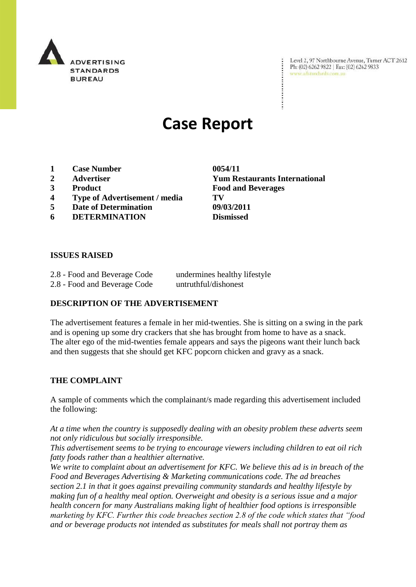

Level 2, 97 Northbourne Avenue, Turner ACT 2612 Ph: (02) 6262 9822 | Fax: (02) 6262 9833 www.adstandards.com.au

# **Case Report**

- **1 Case Number 0054/11**
- 
- 
- **4 Type of Advertisement / media TV**
- **5 Date of Determination 09/03/2011**
- **6 DETERMINATION Dismissed**

**2 Advertiser Yum Restaurants International 3 Product Food and Beverages**

#### **ISSUES RAISED**

| 2.8 - Food and Beverage Code | undermines healthy lifestyle |
|------------------------------|------------------------------|
| 2.8 - Food and Beverage Code | untruthful/dishonest         |

### **DESCRIPTION OF THE ADVERTISEMENT**

The advertisement features a female in her mid-twenties. She is sitting on a swing in the park and is opening up some dry crackers that she has brought from home to have as a snack. The alter ego of the mid-twenties female appears and says the pigeons want their lunch back and then suggests that she should get KFC popcorn chicken and gravy as a snack.

### **THE COMPLAINT**

A sample of comments which the complainant/s made regarding this advertisement included the following:

*At a time when the country is supposedly dealing with an obesity problem these adverts seem not only ridiculous but socially irresponsible.*

*This advertisement seems to be trying to encourage viewers including children to eat oil rich fatty foods rather than a healthier alternative.*

*We write to complaint about an advertisement for KFC. We believe this ad is in breach of the Food and Beverages Advertising & Marketing communications code. The ad breaches section 2.1 in that it goes against prevailing community standards and healthy lifestyle by making fun of a healthy meal option. Overweight and obesity is a serious issue and a major health concern for many Australians making light of healthier food options is irresponsible marketing by KFC. Further this code breaches section 2.8 of the code which states that "food and or beverage products not intended as substitutes for meals shall not portray them as*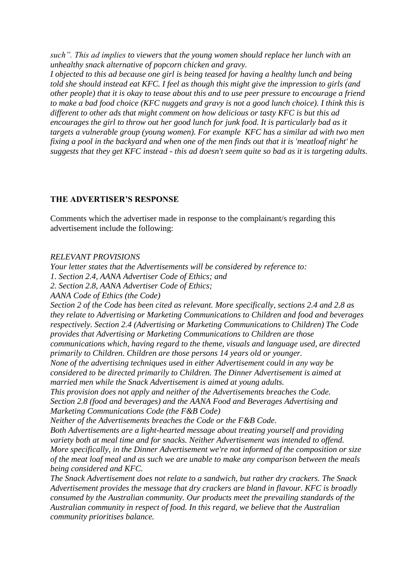*such". This ad implies to viewers that the young women should replace her lunch with an unhealthy snack alternative of popcorn chicken and gravy.*

*I objected to this ad because one girl is being teased for having a healthy lunch and being told she should instead eat KFC. I feel as though this might give the impression to girls (and other people) that it is okay to tease about this and to use peer pressure to encourage a friend to make a bad food choice (KFC nuggets and gravy is not a good lunch choice). I think this is different to other ads that might comment on how delicious or tasty KFC is but this ad encourages the girl to throw out her good lunch for junk food. It is particularly bad as it targets a vulnerable group (young women). For example KFC has a similar ad with two men fixing a pool in the backyard and when one of the men finds out that it is 'meatloaf night' he suggests that they get KFC instead - this ad doesn't seem quite so bad as it is targeting adults.*

## **THE ADVERTISER'S RESPONSE**

Comments which the advertiser made in response to the complainant/s regarding this advertisement include the following:

## *RELEVANT PROVISIONS*

*Your letter states that the Advertisements will be considered by reference to:*

*1. Section 2.4, AANA Advertiser Code of Ethics; and*

*2. Section 2.8, AANA Advertiser Code of Ethics;*

*AANA Code of Ethics (the Code)*

*Section 2 of the Code has been cited as relevant. More specifically, sections 2.4 and 2.8 as they relate to Advertising or Marketing Communications to Children and food and beverages respectively. Section 2.4 (Advertising or Marketing Communications to Children) The Code provides that Advertising or Marketing Communications to Children are those communications which, having regard to the theme, visuals and language used, are directed* 

*primarily to Children. Children are those persons 14 years old or younger.*

*None of the advertising techniques used in either Advertisement could in any way be considered to be directed primarily to Children. The Dinner Advertisement is aimed at married men while the Snack Advertisement is aimed at young adults.*

*This provision does not apply and neither of the Advertisements breaches the Code. Section 2.8 (food and beverages) and the AANA Food and Beverages Advertising and Marketing Communications Code (the F&B Code)*

*Neither of the Advertisements breaches the Code or the F&B Code.*

*Both Advertisements are a light-hearted message about treating yourself and providing variety both at meal time and for snacks. Neither Advertisement was intended to offend. More specifically, in the Dinner Advertisement we're not informed of the composition or size of the meat loaf meal and as such we are unable to make any comparison between the meals being considered and KFC.*

*The Snack Advertisement does not relate to a sandwich, but rather dry crackers. The Snack Advertisement provides the message that dry crackers are bland in flavour. KFC is broadly consumed by the Australian community. Our products meet the prevailing standards of the Australian community in respect of food. In this regard, we believe that the Australian community prioritises balance.*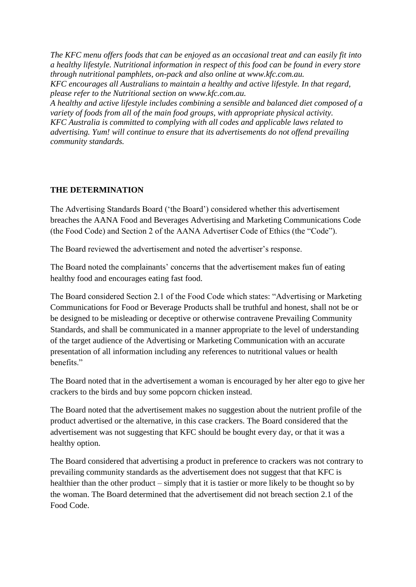*The KFC menu offers foods that can be enjoyed as an occasional treat and can easily fit into a healthy lifestyle. Nutritional information in respect of this food can be found in every store through nutritional pamphlets, on-pack and also online at www.kfc.com.au. KFC encourages all Australians to maintain a healthy and active lifestyle. In that regard, please refer to the Nutritional section on www.kfc.com.au.*

*A healthy and active lifestyle includes combining a sensible and balanced diet composed of a variety of foods from all of the main food groups, with appropriate physical activity. KFC Australia is committed to complying with all codes and applicable laws related to advertising. Yum! will continue to ensure that its advertisements do not offend prevailing community standards.*

## **THE DETERMINATION**

The Advertising Standards Board ("the Board") considered whether this advertisement breaches the AANA Food and Beverages Advertising and Marketing Communications Code (the Food Code) and Section 2 of the AANA Advertiser Code of Ethics (the "Code").

The Board reviewed the advertisement and noted the advertiser"s response.

The Board noted the complainants' concerns that the advertisement makes fun of eating healthy food and encourages eating fast food.

The Board considered Section 2.1 of the Food Code which states: "Advertising or Marketing Communications for Food or Beverage Products shall be truthful and honest, shall not be or be designed to be misleading or deceptive or otherwise contravene Prevailing Community Standards, and shall be communicated in a manner appropriate to the level of understanding of the target audience of the Advertising or Marketing Communication with an accurate presentation of all information including any references to nutritional values or health henefits<sup>"</sup>

The Board noted that in the advertisement a woman is encouraged by her alter ego to give her crackers to the birds and buy some popcorn chicken instead.

The Board noted that the advertisement makes no suggestion about the nutrient profile of the product advertised or the alternative, in this case crackers. The Board considered that the advertisement was not suggesting that KFC should be bought every day, or that it was a healthy option.

The Board considered that advertising a product in preference to crackers was not contrary to prevailing community standards as the advertisement does not suggest that that KFC is healthier than the other product – simply that it is tastier or more likely to be thought so by the woman. The Board determined that the advertisement did not breach section 2.1 of the Food Code.